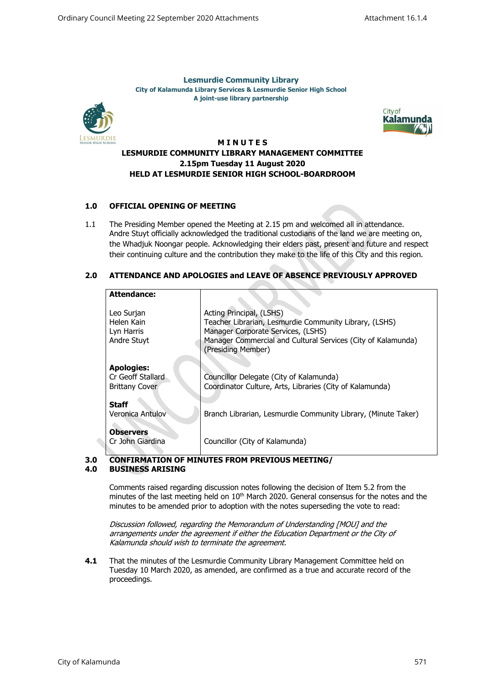**Lesmurdie Community Library City of Kalamunda Library Services & Lesmurdie Senior High School A joint-use library partnership**





### **M I N U T E S**

## **LESMURDIE COMMUNITY LIBRARY MANAGEMENT COMMITTEE 2.15pm Tuesday 11 August 2020 HELD AT LESMURDIE SENIOR HIGH SCHOOL-BOARDROOM**

## **1.0 OFFICIAL OPENING OF MEETING**

1.1 The Presiding Member opened the Meeting at 2.15 pm and welcomed all in attendance. Andre Stuyt officially acknowledged the traditional custodians of the land we are meeting on, the Whadjuk Noongar people. Acknowledging their elders past, present and future and respect their continuing culture and the contribution they make to the life of this City and this region.

# **2.0 ATTENDANCE AND APOLOGIES and LEAVE OF ABSENCE PREVIOUSLY APPROVED**

| <b>Attendance:</b>                                              |                                                                                                                                                                                                                |
|-----------------------------------------------------------------|----------------------------------------------------------------------------------------------------------------------------------------------------------------------------------------------------------------|
| Leo Surjan<br>Helen Kain<br>Lyn Harris<br>Andre Stuyt           | Acting Principal, (LSHS)<br>Teacher Librarian, Lesmurdie Community Library, (LSHS)<br>Manager Corporate Services, (LSHS)<br>Manager Commercial and Cultural Services (City of Kalamunda)<br>(Presiding Member) |
| <b>Apologies:</b><br>Cr Geoff Stallard<br><b>Brittany Cover</b> | Councillor Delegate (City of Kalamunda)<br>Coordinator Culture, Arts, Libraries (City of Kalamunda)                                                                                                            |
| <b>Staff</b><br>Veronica Antulov                                | Branch Librarian, Lesmurdie Community Library, (Minute Taker)                                                                                                                                                  |
| <b>Observers</b><br>Cr John Giardina                            | Councillor (City of Kalamunda)                                                                                                                                                                                 |

#### **3.0 CONFIRMATION OF MINUTES FROM PREVIOUS MEETING/**

#### **4.0 BUSINESS ARISING**

 $\hat{\phantom{a}}$ 

Comments raised regarding discussion notes following the decision of Item 5.2 from the minutes of the last meeting held on  $10<sup>th</sup>$  March 2020. General consensus for the notes and the minutes to be amended prior to adoption with the notes superseding the vote to read:

Discussion followed, regarding the Memorandum of Understanding [MOU] and the arrangements under the agreement if either the Education Department or the City of Kalamunda should wish to terminate the agreement.

**4.1** That the minutes of the Lesmurdie Community Library Management Committee held on Tuesday 10 March 2020, as amended, are confirmed as a true and accurate record of the proceedings.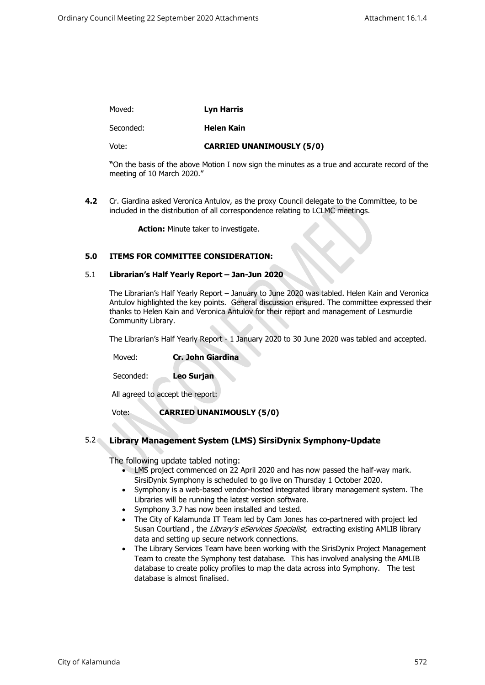#### Moved: **Lyn Harris**

#### Seconded: **Helen Kain**

Vote:

## **CARRIED UNANIMOUSLY (5/0)**

**"**On the basis of the above Motion I now sign the minutes as a true and accurate record of the meeting of 10 March 2020."

**4.2** Cr. Giardina asked Veronica Antulov, as the proxy Council delegate to the Committee, to be included in the distribution of all correspondence relating to LCLMC meetings.

**Action:** Minute taker to investigate.

## **5.0 ITEMS FOR COMMITTEE CONSIDERATION:**

### 5.1 **Librarian's Half Yearly Report – Jan-Jun 2020**

The Librarian's Half Yearly Report – January to June 2020 was tabled. Helen Kain and Veronica Antulov highlighted the key points. General discussion ensured. The committee expressed their thanks to Helen Kain and Veronica Antulov for their report and management of Lesmurdie Community Library.

The Librarian's Half Yearly Report - 1 January 2020 to 30 June 2020 was tabled and accepted.

Moved: **Cr. John Giardina**

Seconded: **Leo Surjan**

All agreed to accept the report:

### Vote: **CARRIED UNANIMOUSLY (5/0)**

## 5.2 **Library Management System (LMS) SirsiDynix Symphony-Update**

The following update tabled noting:

- LMS project commenced on 22 April 2020 and has now passed the half-way mark. SirsiDynix Symphony is scheduled to go live on Thursday 1 October 2020.
- Symphony is a web-based vendor-hosted integrated library management system. The Libraries will be running the latest version software.
- Symphony 3.7 has now been installed and tested.
- The City of Kalamunda IT Team led by Cam Jones has co-partnered with project led Susan Courtland, the Library's eServices Specialist, extracting existing AMLIB library data and setting up secure network connections.
- The Library Services Team have been working with the SirisDynix Project Management Team to create the Symphony test database. This has involved analysing the AMLIB database to create policy profiles to map the data across into Symphony. The test database is almost finalised.